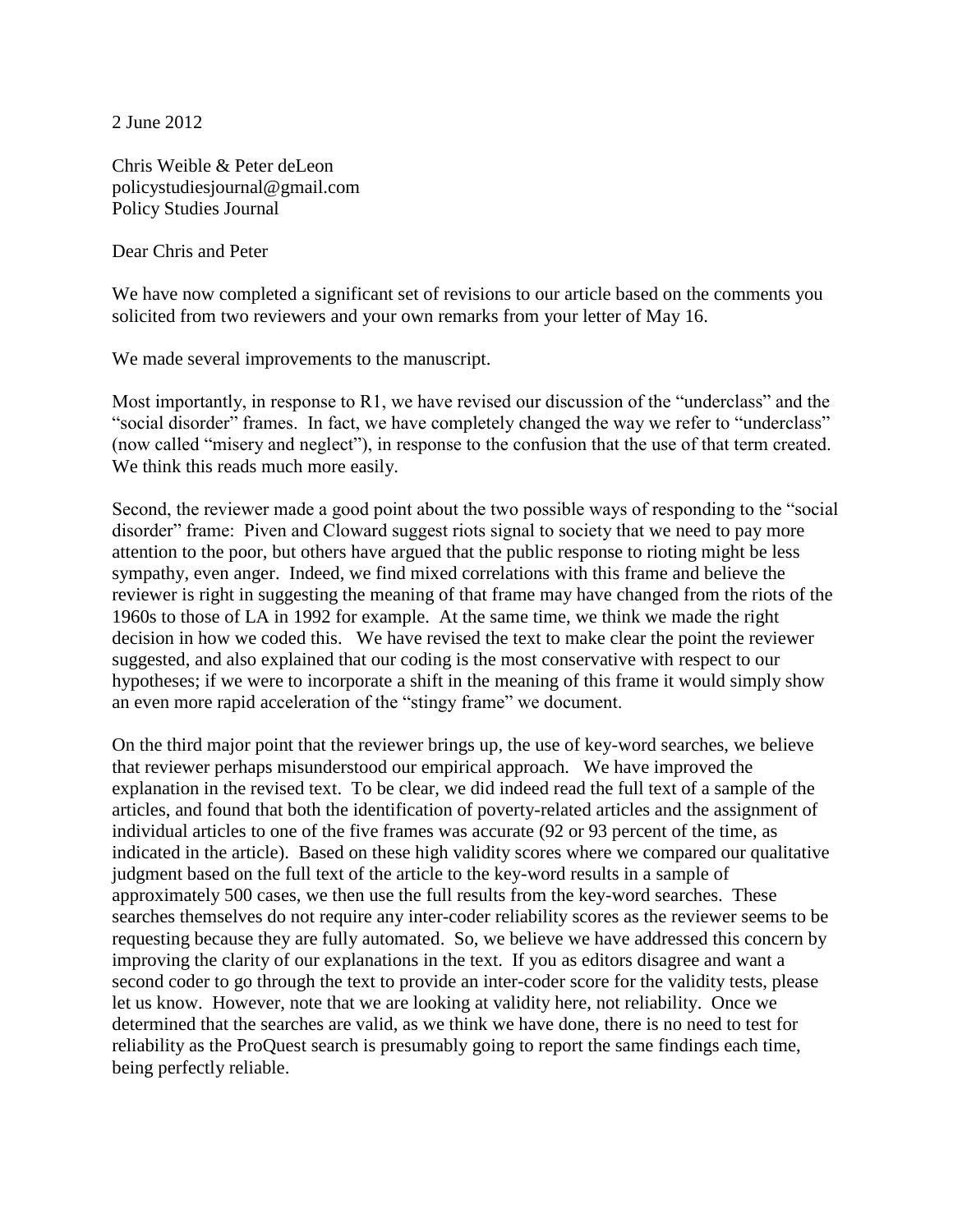2 June 2012

Chris Weible & Peter deLeon policystudiesjournal@gmail.com Policy Studies Journal

Dear Chris and Peter

We have now completed a significant set of revisions to our article based on the comments you solicited from two reviewers and your own remarks from your letter of May 16.

We made several improvements to the manuscript.

Most importantly, in response to R1, we have revised our discussion of the "underclass" and the "social disorder" frames. In fact, we have completely changed the way we refer to "underclass" (now called "misery and neglect"), in response to the confusion that the use of that term created. We think this reads much more easily.

Second, the reviewer made a good point about the two possible ways of responding to the "social disorder" frame: Piven and Cloward suggest riots signal to society that we need to pay more attention to the poor, but others have argued that the public response to rioting might be less sympathy, even anger. Indeed, we find mixed correlations with this frame and believe the reviewer is right in suggesting the meaning of that frame may have changed from the riots of the 1960s to those of LA in 1992 for example. At the same time, we think we made the right decision in how we coded this. We have revised the text to make clear the point the reviewer suggested, and also explained that our coding is the most conservative with respect to our hypotheses; if we were to incorporate a shift in the meaning of this frame it would simply show an even more rapid acceleration of the "stingy frame" we document.

On the third major point that the reviewer brings up, the use of key-word searches, we believe that reviewer perhaps misunderstood our empirical approach. We have improved the explanation in the revised text. To be clear, we did indeed read the full text of a sample of the articles, and found that both the identification of poverty-related articles and the assignment of individual articles to one of the five frames was accurate (92 or 93 percent of the time, as indicated in the article). Based on these high validity scores where we compared our qualitative judgment based on the full text of the article to the key-word results in a sample of approximately 500 cases, we then use the full results from the key-word searches. These searches themselves do not require any inter-coder reliability scores as the reviewer seems to be requesting because they are fully automated. So, we believe we have addressed this concern by improving the clarity of our explanations in the text. If you as editors disagree and want a second coder to go through the text to provide an inter-coder score for the validity tests, please let us know. However, note that we are looking at validity here, not reliability. Once we determined that the searches are valid, as we think we have done, there is no need to test for reliability as the ProQuest search is presumably going to report the same findings each time, being perfectly reliable.